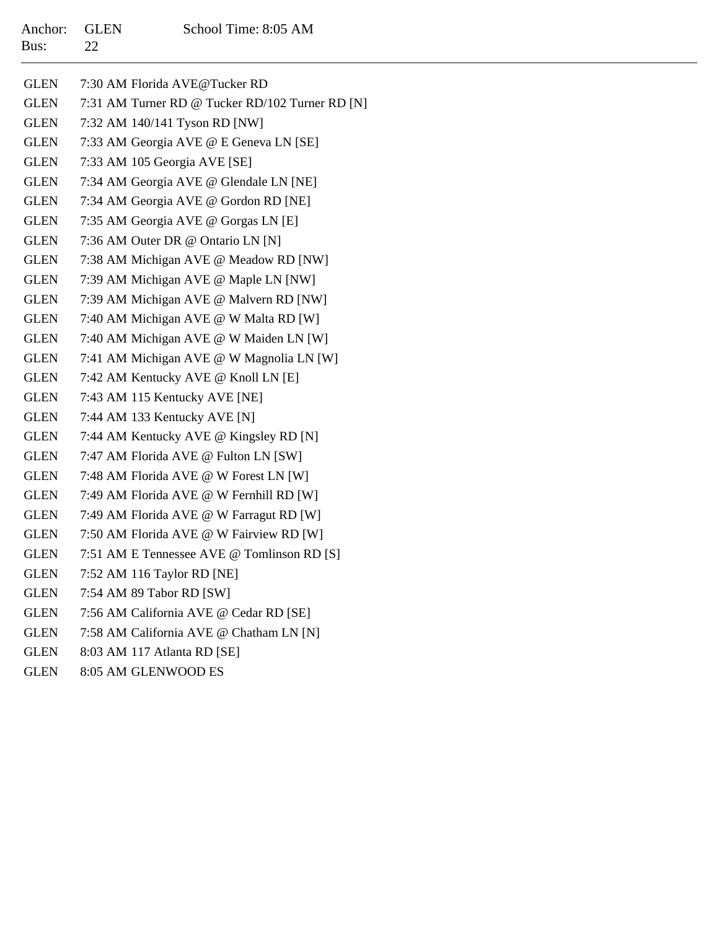| Anchor: GLEN |                 | School Time: 8:05 AM |
|--------------|-----------------|----------------------|
| Bus:         | $\overline{22}$ |                      |

| <b>GLEN</b> | 7:30 AM Florida AVE@Tucker RD                   |
|-------------|-------------------------------------------------|
| <b>GLEN</b> | 7:31 AM Turner RD @ Tucker RD/102 Turner RD [N] |
| <b>GLEN</b> | 7:32 AM 140/141 Tyson RD [NW]                   |
| <b>GLEN</b> | 7:33 AM Georgia AVE @ E Geneva LN [SE]          |
| <b>GLEN</b> | 7:33 AM 105 Georgia AVE [SE]                    |
| <b>GLEN</b> | 7:34 AM Georgia AVE @ Glendale LN [NE]          |
| <b>GLEN</b> | 7:34 AM Georgia AVE @ Gordon RD [NE]            |
| <b>GLEN</b> | 7:35 AM Georgia AVE @ Gorgas LN [E]             |
| <b>GLEN</b> | 7:36 AM Outer DR @ Ontario LN [N]               |
| <b>GLEN</b> | 7:38 AM Michigan AVE @ Meadow RD [NW]           |
| <b>GLEN</b> | 7:39 AM Michigan AVE @ Maple LN [NW]            |
| <b>GLEN</b> | 7:39 AM Michigan AVE @ Malvern RD [NW]          |
| <b>GLEN</b> | 7:40 AM Michigan AVE @ W Malta RD [W]           |
| <b>GLEN</b> | 7:40 AM Michigan AVE @ W Maiden LN [W]          |
| <b>GLEN</b> | 7:41 AM Michigan AVE @ W Magnolia LN [W]        |
| <b>GLEN</b> | 7:42 AM Kentucky AVE @ Knoll LN [E]             |
| <b>GLEN</b> | 7:43 AM 115 Kentucky AVE [NE]                   |
| <b>GLEN</b> | 7:44 AM 133 Kentucky AVE [N]                    |
| <b>GLEN</b> | 7:44 AM Kentucky AVE @ Kingsley RD [N]          |
| <b>GLEN</b> | 7:47 AM Florida AVE @ Fulton LN [SW]            |
| <b>GLEN</b> | 7:48 AM Florida AVE @ W Forest LN [W]           |
| <b>GLEN</b> | 7:49 AM Florida AVE @ W Fernhill RD [W]         |
| <b>GLEN</b> | 7:49 AM Florida AVE @ W Farragut RD [W]         |
| <b>GLEN</b> | 7:50 AM Florida AVE @ W Fairview RD [W]         |
| <b>GLEN</b> | 7:51 AM E Tennessee AVE @ Tomlinson RD [S]      |
| <b>GLEN</b> | 7:52 AM 116 Taylor RD [NE]                      |
| <b>GLEN</b> | 7:54 AM 89 Tabor RD [SW]                        |
| <b>GLEN</b> | 7:56 AM California AVE @ Cedar RD [SE]          |
| <b>GLEN</b> | 7:58 AM California AVE @ Chatham LN [N]         |
| <b>GLEN</b> | 8:03 AM 117 Atlanta RD [SE]                     |

GLEN8:05 AM GLENWOOD ES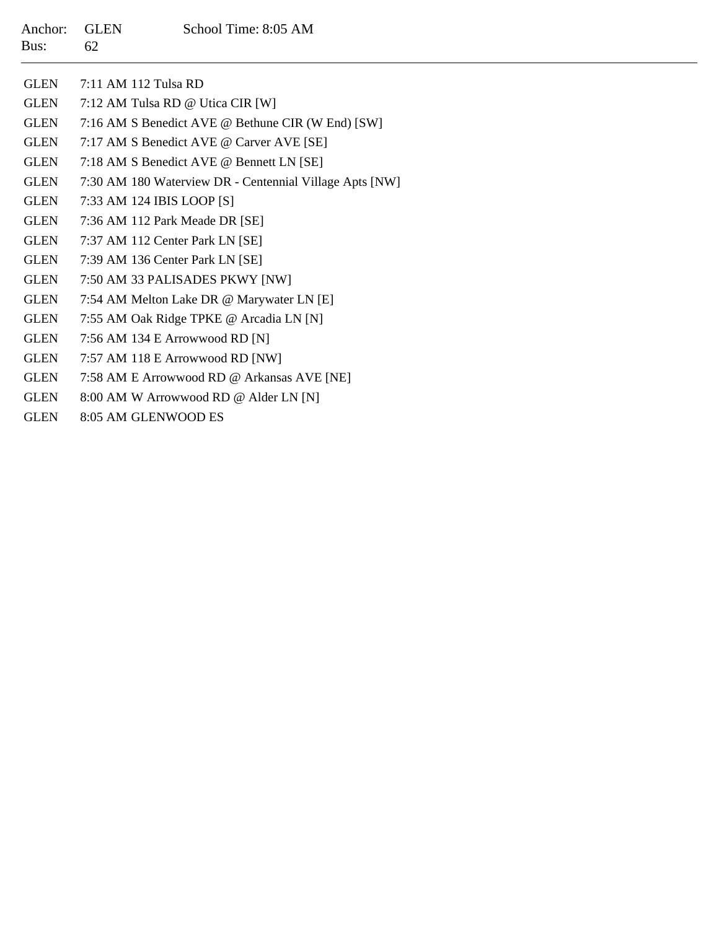| <b>GLEN</b> | 7:11 AM 112 Tulsa RD                                    |
|-------------|---------------------------------------------------------|
| <b>GLEN</b> | 7:12 AM Tulsa RD @ Utica CIR [W]                        |
| <b>GLEN</b> | 7:16 AM S Benedict AVE @ Bethune CIR (W End) [SW]       |
| <b>GLEN</b> | 7:17 AM S Benedict AVE @ Carver AVE [SE]                |
| <b>GLEN</b> | 7:18 AM S Benedict AVE @ Bennett LN [SE]                |
| <b>GLEN</b> | 7:30 AM 180 Waterview DR - Centennial Village Apts [NW] |
| <b>GLEN</b> | 7:33 AM 124 IBIS LOOP [S]                               |
| <b>GLEN</b> | 7:36 AM 112 Park Meade DR [SE]                          |
| <b>GLEN</b> | 7:37 AM 112 Center Park LN [SE]                         |
| <b>GLEN</b> | 7:39 AM 136 Center Park LN [SE]                         |
| <b>GLEN</b> | 7:50 AM 33 PALISADES PKWY [NW]                          |
| <b>GLEN</b> | 7:54 AM Melton Lake DR @ Marywater LN [E]               |
| <b>GLEN</b> | 7:55 AM Oak Ridge TPKE @ Arcadia LN [N]                 |
| <b>GLEN</b> | 7:56 AM 134 E Arrowwood RD [N]                          |
| <b>GLEN</b> | 7:57 AM 118 E Arrowwood RD [NW]                         |
| <b>GLEN</b> | 7:58 AM E Arrowwood RD @ Arkansas AVE [NE]              |
| <b>GLEN</b> | 8:00 AM W Arrowwood RD @ Alder LN [N]                   |
| GLEN        | 8:05 AM GLENWOOD ES                                     |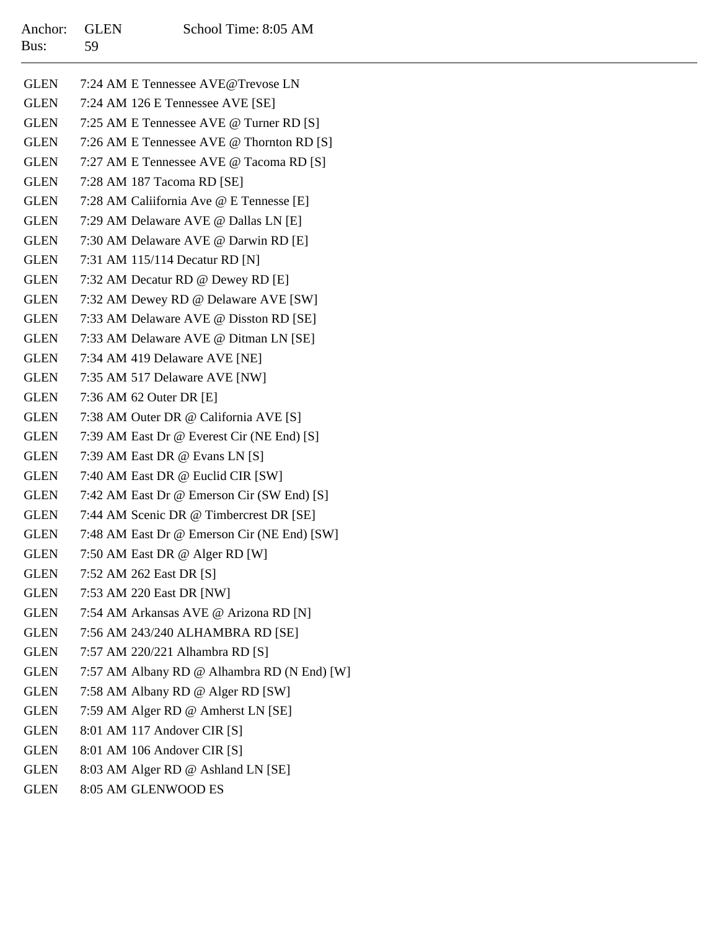| GLEN        | 7:24 AM E Tennessee AVE@Trevose LN          |
|-------------|---------------------------------------------|
| GLEN        | 7:24 AM 126 E Tennessee AVE [SE]            |
| GLEN        | 7:25 AM E Tennessee AVE @ Turner RD [S]     |
| GLEN        | 7:26 AM E Tennessee AVE @ Thornton RD [S]   |
| GLEN        | 7:27 AM E Tennessee AVE @ Tacoma RD [S]     |
| GLEN        | 7:28 AM 187 Tacoma RD [SE]                  |
| GLEN        | 7:28 AM Caliifornia Ave @ E Tennesse [E]    |
| GLEN        | 7:29 AM Delaware AVE @ Dallas LN [E]        |
| GLEN        | 7:30 AM Delaware AVE @ Darwin RD [E]        |
| GLEN        | 7:31 AM 115/114 Decatur RD [N]              |
| GLEN        | 7:32 AM Decatur RD @ Dewey RD [E]           |
| GLEN        | 7:32 AM Dewey RD @ Delaware AVE [SW]        |
| GLEN        | 7:33 AM Delaware AVE @ Disston RD [SE]      |
| GLEN        | 7:33 AM Delaware AVE @ Ditman LN [SE]       |
| GLEN        | 7:34 AM 419 Delaware AVE [NE]               |
| GLEN        | 7:35 AM 517 Delaware AVE [NW]               |
| <b>GLEN</b> | 7:36 AM 62 Outer DR [E]                     |
| GLEN        | 7:38 AM Outer DR @ California AVE [S]       |
| GLEN        | 7:39 AM East Dr @ Everest Cir (NE End) [S]  |
| GLEN        | 7:39 AM East DR @ Evans LN [S]              |
| GLEN        | 7:40 AM East DR @ Euclid CIR [SW]           |
| GLEN        | 7:42 AM East Dr @ Emerson Cir (SW End) [S]  |
| GLEN        | 7:44 AM Scenic DR @ Timbercrest DR [SE]     |
| GLEN        | 7:48 AM East Dr @ Emerson Cir (NE End) [SW] |
| GLEN        | 7:50 AM East DR @ Alger RD [W]              |
| GLEN        | 7:52 AM 262 East DR [S]                     |
| GLEN        | 7:53 AM 220 East DR [NW]                    |
| GLEN        | 7:54 AM Arkansas AVE @ Arizona RD [N]       |
| GLEN        | 7:56 AM 243/240 ALHAMBRA RD [SE]            |
| <b>GLEN</b> | 7:57 AM 220/221 Alhambra RD [S]             |
| <b>GLEN</b> | 7:57 AM Albany RD @ Alhambra RD (N End) [W] |
| GLEN        | 7:58 AM Albany RD @ Alger RD [SW]           |
| <b>GLEN</b> | 7:59 AM Alger RD @ Amherst LN [SE]          |
| <b>GLEN</b> | 8:01 AM 117 Andover CIR [S]                 |
| GLEN        | 8:01 AM 106 Andover CIR [S]                 |
| GLEN        | 8:03 AM Alger RD @ Ashland LN [SE]          |

GLEN8:05 AM GLENWOOD ES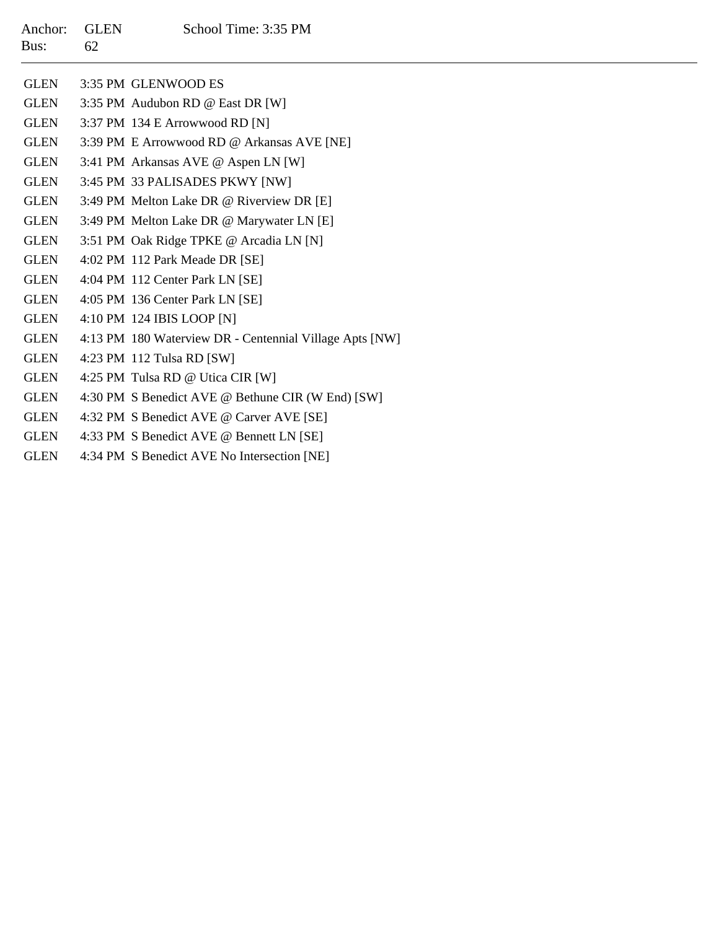| Anchor: GLEN |    | School Time: 3:35 PM |
|--------------|----|----------------------|
| Bus:         | 62 |                      |

| <b>GLEN</b> | 3:35 PM GLENWOOD ES                                     |
|-------------|---------------------------------------------------------|
| GLEN        | 3:35 PM Audubon RD @ East DR [W]                        |
| GLEN        | 3:37 PM 134 E Arrowwood RD [N]                          |
| GLEN        | 3:39 PM E Arrowwood RD @ Arkansas AVE [NE]              |
| <b>GLEN</b> | 3:41 PM Arkansas AVE @ Aspen LN [W]                     |
| <b>GLEN</b> | 3:45 PM 33 PALISADES PKWY [NW]                          |
| <b>GLEN</b> | 3:49 PM Melton Lake DR @ Riverview DR [E]               |
| <b>GLEN</b> | 3:49 PM Melton Lake DR @ Marywater LN [E]               |
| GLEN        | 3:51 PM Oak Ridge TPKE @ Arcadia LN [N]                 |
| GLEN        | 4:02 PM 112 Park Meade DR [SE]                          |
| GLEN        | 4:04 PM 112 Center Park LN [SE]                         |
| GLEN        | 4:05 PM 136 Center Park LN [SE]                         |
| <b>GLEN</b> | 4:10 PM 124 IBIS LOOP [N]                               |
| <b>GLEN</b> | 4:13 PM 180 Waterview DR - Centennial Village Apts [NW] |
| GLEN        | 4:23 PM 112 Tulsa RD [SW]                               |
| <b>GLEN</b> | 4:25 PM Tulsa RD @ Utica CIR [W]                        |
| GLEN        | 4:30 PM S Benedict AVE @ Bethune CIR (W End) [SW]       |
| GLEN        | 4:32 PM S Benedict AVE @ Carver AVE [SE]                |
| GLEN        | 4:33 PM S Benedict AVE @ Bennett LN [SE]                |
| <b>GLEN</b> | 4:34 PM S Benedict AVE No Intersection [NE]             |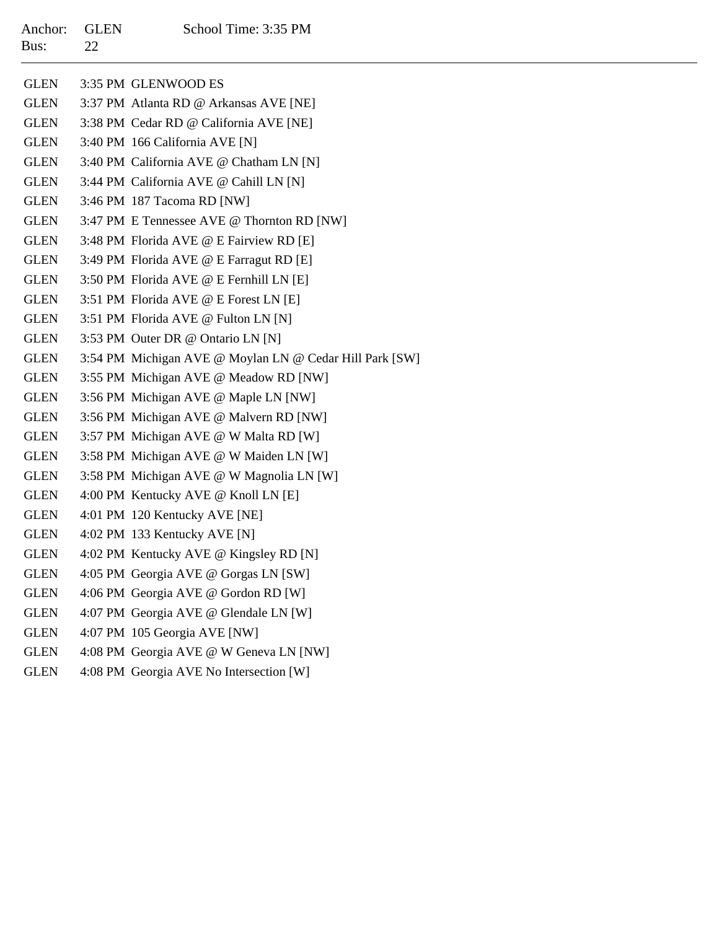## Anchor: GLEN School Time: 3:35 PM  $\overline{2}$

| Bus:        | 22 |                                                         |
|-------------|----|---------------------------------------------------------|
| <b>GLEN</b> |    | 3:35 PM GLENWOOD ES                                     |
| <b>GLEN</b> |    | 3:37 PM Atlanta RD @ Arkansas AVE [NE]                  |
| GLEN        |    | 3:38 PM Cedar RD @ California AVE [NE]                  |
| GLEN        |    | 3:40 PM 166 California AVE [N]                          |
| <b>GLEN</b> |    | 3:40 PM California AVE @ Chatham LN [N]                 |
| GLEN        |    | 3:44 PM California AVE @ Cahill LN [N]                  |
| GLEN        |    | 3:46 PM 187 Tacoma RD [NW]                              |
| <b>GLEN</b> |    | 3:47 PM E Tennessee AVE @ Thornton RD [NW]              |
| GLEN        |    | 3:48 PM Florida AVE @ E Fairview RD [E]                 |
| GLEN        |    | 3:49 PM Florida AVE @ E Farragut RD [E]                 |
| GLEN        |    | 3:50 PM Florida AVE @ E Fernhill LN [E]                 |
| GLEN        |    | 3:51 PM Florida AVE @ E Forest LN [E]                   |
| <b>GLEN</b> |    | 3:51 PM Florida AVE @ Fulton LN [N]                     |
| <b>GLEN</b> |    | 3:53 PM Outer DR @ Ontario LN [N]                       |
| <b>GLEN</b> |    | 3:54 PM Michigan AVE @ Moylan LN @ Cedar Hill Park [SW] |
| <b>GLEN</b> |    | 3:55 PM Michigan AVE @ Meadow RD [NW]                   |
| <b>GLEN</b> |    | 3:56 PM Michigan AVE @ Maple LN [NW]                    |
| <b>GLEN</b> |    | 3:56 PM Michigan AVE @ Malvern RD [NW]                  |
| <b>GLEN</b> |    | 3:57 PM Michigan AVE @ W Malta RD [W]                   |
| <b>GLEN</b> |    | 3:58 PM Michigan AVE @ W Maiden LN [W]                  |
| <b>GLEN</b> |    | 3:58 PM Michigan AVE @ W Magnolia LN [W]                |
| <b>GLEN</b> |    | 4:00 PM Kentucky AVE @ Knoll LN [E]                     |
| <b>GLEN</b> |    | 4:01 PM 120 Kentucky AVE [NE]                           |
| <b>GLEN</b> |    | 4:02 PM 133 Kentucky AVE [N]                            |
| <b>GLEN</b> |    | 4:02 PM Kentucky AVE @ Kingsley RD [N]                  |
| <b>GLEN</b> |    | 4:05 PM Georgia AVE @ Gorgas LN [SW]                    |
| <b>GLEN</b> |    | 4:06 PM Georgia AVE @ Gordon RD [W]                     |
| <b>GLEN</b> |    | 4:07 PM Georgia AVE @ Glendale LN [W]                   |
| <b>GLEN</b> |    | 4:07 PM 105 Georgia AVE [NW]                            |
| <b>GLEN</b> |    | 4:08 PM Georgia AVE @ W Geneva LN [NW]                  |

GLEN4:08 PM Georgia AVE No Intersection [W]